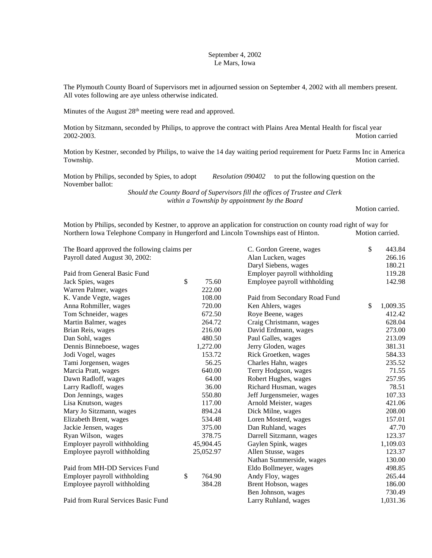## September 4, 2002 Le Mars, Iowa

The Plymouth County Board of Supervisors met in adjourned session on September 4, 2002 with all members present. All votes following are aye unless otherwise indicated.

Minutes of the August  $28<sup>th</sup>$  meeting were read and approved.

Motion by Sitzmann, seconded by Philips, to approve the contract with Plains Area Mental Health for fiscal year 2002-2003. Motion carried

Motion by Kestner, seconded by Philips, to waive the 14 day waiting period requirement for Puetz Farms Inc in America Township. Motion carried.

Motion by Philips, seconded by Spies, to adopt *Resolution 090402* to put the following question on the November ballot:

*Should the County Board of Supervisors fill the offices of Trustee and Clerk within a Township by appointment by the Board*

Motion carried.

Motion by Philips, seconded by Kestner, to approve an application for construction on county road right of way for Northern Iowa Telephone Company in Hungerford and Lincoln Townships east of Hinton. Motion carried.

| The Board approved the following claims per |    |           | C. Gordon Greene, wages       | \$<br>443.84   |
|---------------------------------------------|----|-----------|-------------------------------|----------------|
| Payroll dated August 30, 2002:              |    |           | Alan Lucken, wages            | 266.16         |
|                                             |    |           | Daryl Siebens, wages          | 180.21         |
| Paid from General Basic Fund                |    |           | Employer payroll withholding  | 119.28         |
| Jack Spies, wages                           | \$ | 75.60     | Employee payroll withholding  | 142.98         |
| Warren Palmer, wages                        |    | 222.00    |                               |                |
| K. Vande Vegte, wages                       |    | 108.00    | Paid from Secondary Road Fund |                |
| Anna Rohmiller, wages                       |    | 720.00    | Ken Ahlers, wages             | \$<br>1,009.35 |
| Tom Schneider, wages                        |    | 672.50    | Roye Beene, wages             | 412.42         |
| Martin Balmer, wages                        |    | 264.72    | Craig Christmann, wages       | 628.04         |
| Brian Reis, wages                           |    | 216.00    | David Erdmann, wages          | 273.00         |
| Dan Sohl, wages                             |    | 480.50    | Paul Galles, wages            | 213.09         |
| Dennis Binneboese, wages                    |    | 1,272.00  | Jerry Gloden, wages           | 381.31         |
| Jodi Vogel, wages                           |    | 153.72    | Rick Groetken, wages          | 584.33         |
| Tami Jorgensen, wages                       |    | 56.25     | Charles Hahn, wages           | 235.52         |
| Marcia Pratt, wages                         |    | 640.00    | Terry Hodgson, wages          | 71.55          |
| Dawn Radloff, wages                         |    | 64.00     | Robert Hughes, wages          | 257.95         |
| Larry Radloff, wages                        |    | 36.00     | Richard Husman, wages         | 78.51          |
| Don Jennings, wages                         |    | 550.80    | Jeff Jurgensmeier, wages      | 107.33         |
| Lisa Knutson, wages                         |    | 117.00    | Arnold Meister, wages         | 421.06         |
| Mary Jo Sitzmann, wages                     |    | 894.24    | Dick Milne, wages             | 208.00         |
| Elizabeth Brent, wages                      |    | 534.48    | Loren Mosterd, wages          | 157.01         |
| Jackie Jensen, wages                        |    | 375.00    | Dan Ruhland, wages            | 47.70          |
| Ryan Wilson, wages                          |    | 378.75    | Darrell Sitzmann, wages       | 123.37         |
| Employer payroll withholding                |    | 45,904.45 | Gaylen Spink, wages           | 1,109.03       |
| Employee payroll withholding                |    | 25,052.97 | Allen Stusse, wages           | 123.37         |
|                                             |    |           | Nathan Summerside, wages      | 130.00         |
| Paid from MH-DD Services Fund               |    |           | Eldo Bollmeyer, wages         | 498.85         |
| Employer payroll withholding                | \$ | 764.90    | Andy Floy, wages              | 265.44         |
| Employee payroll withholding                |    | 384.28    | Brent Hobson, wages           | 186.00         |
|                                             |    |           | Ben Johnson, wages            | 730.49         |
| Paid from Rural Services Basic Fund         |    |           | Larry Ruhland, wages          | 1,031.36       |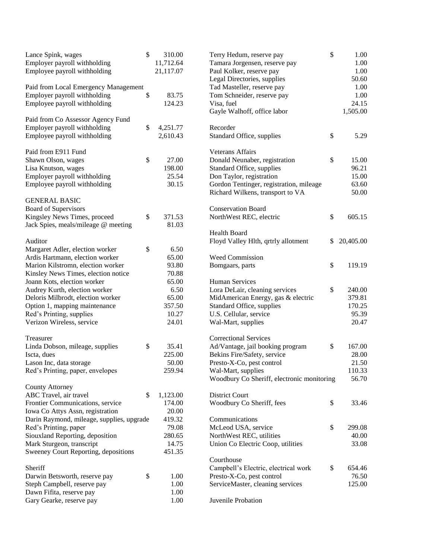| Lance Spink, wages                        | \$<br>310.00   | Terry Hedum, reserve pay                   | \$ | 1.00      |
|-------------------------------------------|----------------|--------------------------------------------|----|-----------|
| Employer payroll withholding              | 11,712.64      | Tamara Jorgensen, reserve pay              |    | 1.00      |
| Employee payroll withholding              | 21,117.07      | Paul Kolker, reserve pay                   |    | 1.00      |
|                                           |                | Legal Directories, supplies                |    | 50.60     |
| Paid from Local Emergency Management      |                | Tad Masteller, reserve pay                 |    | 1.00      |
| Employer payroll withholding              | \$<br>83.75    | Tom Schneider, reserve pay                 |    | 1.00      |
| Employee payroll withholding              | 124.23         | Visa, fuel                                 |    | 24.15     |
|                                           |                | Gayle Walhoff, office labor                |    | 1,505.00  |
| Paid from Co Assessor Agency Fund         |                |                                            |    |           |
| Employer payroll withholding              | \$<br>4,251.77 | Recorder                                   |    |           |
| Employee payroll withholding              | 2,610.43       | Standard Office, supplies                  | \$ | 5.29      |
|                                           |                |                                            |    |           |
| Paid from E911 Fund                       |                | Veterans Affairs                           |    |           |
| Shawn Olson, wages                        | \$<br>27.00    | Donald Neunaber, registration              | \$ | 15.00     |
| Lisa Knutson, wages                       | 198.00         | Standard Office, supplies                  |    | 96.21     |
| Employer payroll withholding              | 25.54          | Don Taylor, registration                   |    | 15.00     |
| Employee payroll withholding              | 30.15          | Gordon Tentinger, registration, mileage    |    | 63.60     |
|                                           |                | Richard Wilkens, transport to VA           |    | 50.00     |
| <b>GENERAL BASIC</b>                      |                |                                            |    |           |
| Board of Supervisors                      |                | <b>Conservation Board</b>                  |    |           |
| Kingsley News Times, proceed              | \$<br>371.53   | NorthWest REC, electric                    | \$ | 605.15    |
| Jack Spies, meals/mileage @ meeting       | 81.03          |                                            |    |           |
|                                           |                | Health Board                               |    |           |
| Auditor                                   |                | Floyd Valley Hlth, qrtrly allotment        | S. | 20,405.00 |
|                                           | 6.50           |                                            |    |           |
| Margaret Adler, election worker           | \$             |                                            |    |           |
| Ardis Hartmann, election worker           | 65.00          | Weed Commission                            |    |           |
| Marion Kilstromn, election worker         | 93.80          | Bomgaars, parts                            | \$ | 119.19    |
| Kinsley News Times, election notice       | 70.88          |                                            |    |           |
| Joann Kots, election worker               | 65.00          | <b>Human Services</b>                      |    |           |
| Audrey Kurth, election worker             | 6.50           | Lora DeLair, cleaning services             | \$ | 240.00    |
| Deloris Milbrodt, election worker         | 65.00          | MidAmerican Energy, gas & electric         |    | 379.81    |
| Option 1, mapping maintenance             | 357.50         | Standard Office, supplies                  |    | 170.25    |
| Red's Printing, supplies                  | 10.27          | U.S. Cellular, service                     |    | 95.39     |
| Verizon Wireless, service                 | 24.01          | Wal-Mart, supplies                         |    | 20.47     |
| Treasurer                                 |                | <b>Correctional Services</b>               |    |           |
| Linda Dobson, mileage, supplies           | \$<br>35.41    | Ad/Vantage, jail booking program           | \$ | 167.00    |
| Iscta, dues                               | 225.00         | Bekins Fire/Safety, service                |    | 28.00     |
|                                           | 50.00          | Presto-X-Co, pest control                  |    | 21.50     |
| Lason Inc, data storage                   |                |                                            |    | 110.33    |
| Red's Printing, paper, envelopes          | 259.94         | Wal-Mart, supplies                         |    |           |
|                                           |                | Woodbury Co Sheriff, electronic monitoring |    | 56.70     |
| <b>County Attorney</b>                    |                |                                            |    |           |
| ABC Travel, air travel                    | \$<br>1,123.00 | District Court                             |    |           |
| Frontier Communications, service          | 174.00         | Woodbury Co Sheriff, fees                  | \$ | 33.46     |
| Iowa Co Attys Assn, registration          | 20.00          |                                            |    |           |
| Darin Raymond, mileage, supplies, upgrade | 419.32         | Communications                             |    |           |
| Red's Printing, paper                     | 79.08          | McLeod USA, service                        | \$ | 299.08    |
| Siouxland Reporting, deposition           | 280.65         | NorthWest REC, utilities                   |    | 40.00     |
| Mark Sturgeon, transcript                 | 14.75          | Union Co Electric Coop, utilities          |    | 33.08     |
| Sweeney Court Reporting, depositions      | 451.35         |                                            |    |           |
|                                           |                | Courthouse                                 |    |           |
| Sheriff                                   |                | Campbell's Electric, electrical work       | \$ | 654.46    |
| Darwin Betsworth, reserve pay             | \$<br>1.00     | Presto-X-Co, pest control                  |    | 76.50     |
| Steph Campbell, reserve pay               | 1.00           | ServiceMaster, cleaning services           |    | 125.00    |
| Dawn Fifita, reserve pay                  | 1.00           |                                            |    |           |
| Gary Gearke, reserve pay                  | 1.00           | Juvenile Probation                         |    |           |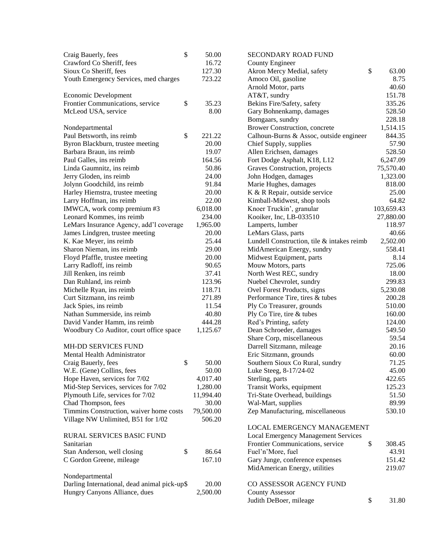| \$<br>Craig Bauerly, fees                    | 50.00     | <b>SECONDARY ROAD FUND</b>                 |              |
|----------------------------------------------|-----------|--------------------------------------------|--------------|
| Crawford Co Sheriff, fees                    | 16.72     | <b>County Engineer</b>                     |              |
| Sioux Co Sheriff, fees                       | 127.30    | Akron Mercy Medial, safety                 | \$<br>63.00  |
| Youth Emergency Services, med charges        | 723.22    | Amoco Oil, gasoline                        | 8.75         |
|                                              |           | Arnold Motor, parts                        | 40.60        |
| Economic Development                         |           | AT&T, sundry                               | 151.78       |
| Frontier Communications, service<br>\$       | 35.23     | Bekins Fire/Safety, safety                 | 335.26       |
| McLeod USA, service                          | 8.00      | Gary Bohnenkamp, damages                   | 528.50       |
|                                              |           | Bomgaars, sundry                           | 228.18       |
| Nondepartmental                              |           | Brower Construction, concrete              | 1,514.15     |
| \$<br>Paul Betsworth, ins reimb              | 221.22    | Calhoun-Burns & Assoc, outside engineer    | 844.35       |
| Byron Blackburn, trustee meeting             | 20.00     | Chief Supply, supplies                     | 57.90        |
| Barbara Braun, ins reimb                     | 19.07     | Allen Erichsen, damages                    | 528.50       |
| Paul Galles, ins reimb                       | 164.56    | Fort Dodge Asphalt, K18, L12               | 6,247.09     |
| Linda Gaumnitz, ins reimb                    | 50.86     | Graves Construction, projects              | 75,570.40    |
| Jerry Gloden, ins reimb                      | 24.00     | John Hodgen, damages                       | 1,323.00     |
| Jolynn Goodchild, ins reimb                  | 91.84     | Marie Hughes, damages                      | 818.00       |
| Harley Hiemstra, trustee meeting             | 20.00     | K & R Repair, outside service              | 25.00        |
| Larry Hoffman, ins reimb                     | 22.00     | Kimball-Midwest, shop tools                | 64.82        |
| IMWCA, work comp premium #3                  | 6,018.00  | Knoer Truckin', granular                   | 103,659.43   |
| Leonard Kommes, ins reimb                    | 234.00    | Kooiker, Inc, LB-033510                    | 27,880.00    |
| LeMars Insurance Agency, add'l coverage      | 1,965.00  | Lamperts, lumber                           | 118.97       |
| James Lindgren, trustee meeting              | 20.00     | LeMars Glass, parts                        | 40.66        |
| K. Kae Meyer, ins reimb                      | 25.44     | Lundell Construction, tile & intakes reimb | 2,502.00     |
| Sharon Nieman, ins reimb                     | 29.00     | MidAmerican Energy, sundry                 | 558.41       |
| Floyd Pfaffle, trustee meeting               | 20.00     | Midwest Equipment, parts                   | 8.14         |
| Larry Radloff, ins reimb                     | 90.65     | Mouw Motors, parts                         | 725.06       |
| Jill Renken, ins reimb                       | 37.41     | North West REC, sundry                     | 18.00        |
| Dan Ruhland, ins reimb                       | 123.96    | Nuebel Chevrolet, sundry                   | 299.83       |
| Michelle Ryan, ins reimb                     | 118.71    | Ovel Forest Products, signs                | 5,230.08     |
| Curt Sitzmann, ins reimb                     | 271.89    | Performance Tire, tires & tubes            | 200.28       |
| Jack Spies, ins reimb                        | 11.54     | Ply Co Treasurer, grounds                  | 510.00       |
| Nathan Summerside, ins reimb                 | 40.80     | Ply Co Tire, tire & tubes                  | 160.00       |
| David Vander Hamm, ins reimb                 | 444.28    | Red's Printing, safety                     | 124.00       |
| Woodbury Co Auditor, court office space      | 1,125.67  | Dean Schroeder, damages                    | 549.50       |
|                                              |           | Share Corp, miscellaneous                  | 59.54        |
| <b>MH-DD SERVICES FUND</b>                   |           | Darrell Sitzmann, mileage                  | 20.16        |
| Mental Health Administrator                  |           | Eric Sitzmann, grounds                     | 60.00        |
| \$<br>Craig Bauerly, fees                    | 50.00     | Southern Sioux Co Rural, sundry            | 71.25        |
| W.E. (Gene) Collins, fees                    | 50.00     | Luke Steeg, 8-17/24-02                     | 45.00        |
| Hope Haven, services for 7/02                | 4,017.40  | Sterling, parts                            | 422.65       |
| Mid-Step Services, services for 7/02         | 1,280.00  | Transit Works, equipment                   | 125.23       |
| Plymouth Life, services for 7/02             | 11,994.40 | Tri-State Overhead, buildings              | 51.50        |
| Chad Thompson, fees                          | 30.00     | Wal-Mart, supplies                         | 89.99        |
| Timmins Construction, waiver home costs      | 79,500.00 | Zep Manufacturing, miscellaneous           | 530.10       |
| Village NW Unlimited, B51 for 1/02           | 506.20    |                                            |              |
|                                              |           | <b>LOCAL EMERGENCY MANAGEMENT</b>          |              |
| RURAL SERVICES BASIC FUND                    |           | <b>Local Emergency Management Services</b> |              |
| Sanitarian                                   |           | Frontier Communications, service           | \$<br>308.45 |
| \$<br>Stan Anderson, well closing            | 86.64     | Fuel'n'More, fuel                          | 43.91        |
| C Gordon Greene, mileage                     | 167.10    | Gary Junge, conference expenses            | 151.42       |
|                                              |           | MidAmerican Energy, utilities              | 219.07       |
| Nondepartmental                              |           |                                            |              |
| Darling International, dead animal pick-up\$ | 20.00     | CO ASSESSOR AGENCY FUND                    |              |
| Hungry Canyons Alliance, dues                | 2,500.00  | <b>County Assessor</b>                     |              |
|                                              |           | Judith DeBoer, mileage                     | \$<br>31.80  |
|                                              |           |                                            |              |